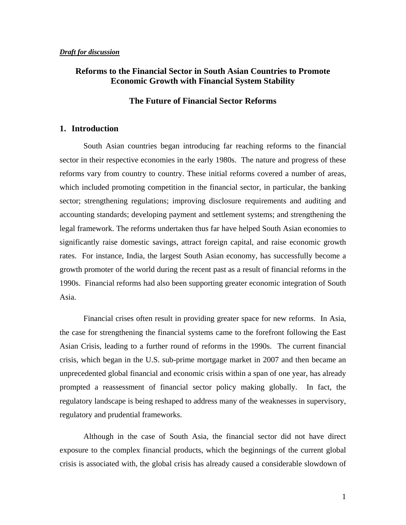## **Reforms to the Financial Sector in South Asian Countries to Promote Economic Growth with Financial System Stability**

#### **The Future of Financial Sector Reforms**

#### **1. Introduction**

 South Asian countries began introducing far reaching reforms to the financial sector in their respective economies in the early 1980s. The nature and progress of these reforms vary from country to country. These initial reforms covered a number of areas, which included promoting competition in the financial sector, in particular, the banking sector; strengthening regulations; improving disclosure requirements and auditing and accounting standards; developing payment and settlement systems; and strengthening the legal framework. The reforms undertaken thus far have helped South Asian economies to significantly raise domestic savings, attract foreign capital, and raise economic growth rates. For instance, India, the largest South Asian economy, has successfully become a growth promoter of the world during the recent past as a result of financial reforms in the 1990s. Financial reforms had also been supporting greater economic integration of South Asia.

Financial crises often result in providing greater space for new reforms. In Asia, the case for strengthening the financial systems came to the forefront following the East Asian Crisis, leading to a further round of reforms in the 1990s. The current financial crisis, which began in the U.S. sub-prime mortgage market in 2007 and then became an unprecedented global financial and economic crisis within a span of one year, has already prompted a reassessment of financial sector policy making globally. In fact, the regulatory landscape is being reshaped to address many of the weaknesses in supervisory, regulatory and prudential frameworks.

Although in the case of South Asia, the financial sector did not have direct exposure to the complex financial products, which the beginnings of the current global crisis is associated with, the global crisis has already caused a considerable slowdown of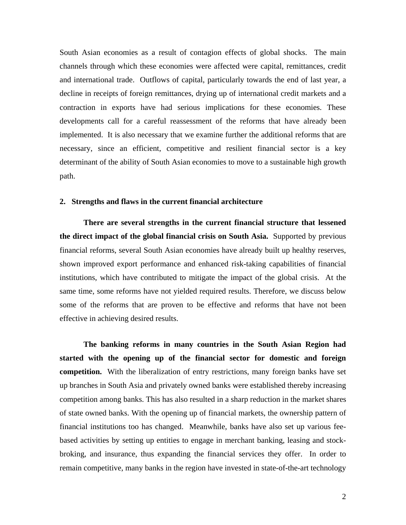South Asian economies as a result of contagion effects of global shocks. The main channels through which these economies were affected were capital, remittances, credit and international trade. Outflows of capital, particularly towards the end of last year, a decline in receipts of foreign remittances, drying up of international credit markets and a contraction in exports have had serious implications for these economies. These developments call for a careful reassessment of the reforms that have already been implemented. It is also necessary that we examine further the additional reforms that are necessary, since an efficient, competitive and resilient financial sector is a key determinant of the ability of South Asian economies to move to a sustainable high growth path.

#### **2. Strengths and flaws in the current financial architecture**

 **There are several strengths in the current financial structure that lessened the direct impact of the global financial crisis on South Asia.** Supported by previous financial reforms, several South Asian economies have already built up healthy reserves, shown improved export performance and enhanced risk-taking capabilities of financial institutions, which have contributed to mitigate the impact of the global crisis. At the same time, some reforms have not yielded required results. Therefore, we discuss below some of the reforms that are proven to be effective and reforms that have not been effective in achieving desired results.

**The banking reforms in many countries in the South Asian Region had started with the opening up of the financial sector for domestic and foreign competition.** With the liberalization of entry restrictions, many foreign banks have set up branches in South Asia and privately owned banks were established thereby increasing competition among banks. This has also resulted in a sharp reduction in the market shares of state owned banks. With the opening up of financial markets, the ownership pattern of financial institutions too has changed. Meanwhile, banks have also set up various feebased activities by setting up entities to engage in merchant banking, leasing and stockbroking, and insurance, thus expanding the financial services they offer. In order to remain competitive, many banks in the region have invested in state-of-the-art technology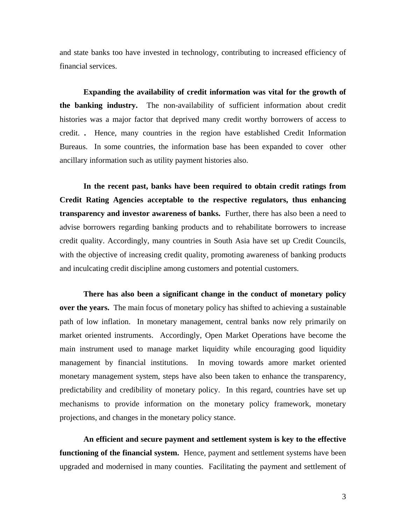and state banks too have invested in technology, contributing to increased efficiency of financial services.

 **Expanding the availability of credit information was vital for the growth of the banking industry.** The non-availability of sufficient information about credit histories was a major factor that deprived many credit worthy borrowers of access to credit. **.** Hence, many countries in the region have established Credit Information Bureaus. In some countries, the information base has been expanded to cover other ancillary information such as utility payment histories also.

**In the recent past, banks have been required to obtain credit ratings from Credit Rating Agencies acceptable to the respective regulators, thus enhancing transparency and investor awareness of banks.** Further, there has also been a need to advise borrowers regarding banking products and to rehabilitate borrowers to increase credit quality. Accordingly, many countries in South Asia have set up Credit Councils, with the objective of increasing credit quality, promoting awareness of banking products and inculcating credit discipline among customers and potential customers.

**There has also been a significant change in the conduct of monetary policy over the years.** The main focus of monetary policy has shifted to achieving a sustainable path of low inflation. In monetary management, central banks now rely primarily on market oriented instruments. Accordingly, Open Market Operations have become the main instrument used to manage market liquidity while encouraging good liquidity management by financial institutions. In moving towards amore market oriented monetary management system, steps have also been taken to enhance the transparency, predictability and credibility of monetary policy. In this regard, countries have set up mechanisms to provide information on the monetary policy framework, monetary projections, and changes in the monetary policy stance.

**An efficient and secure payment and settlement system is key to the effective functioning of the financial system.** Hence, payment and settlement systems have been upgraded and modernised in many counties. Facilitating the payment and settlement of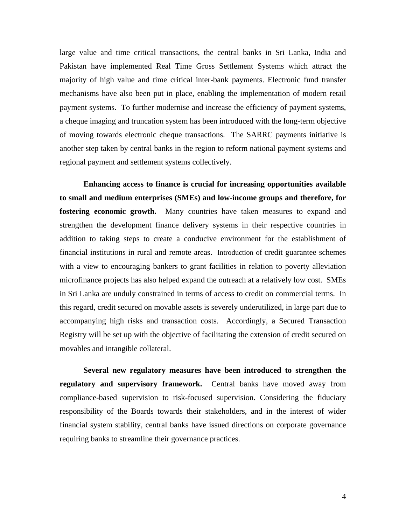large value and time critical transactions, the central banks in Sri Lanka, India and Pakistan have implemented Real Time Gross Settlement Systems which attract the majority of high value and time critical inter-bank payments. Electronic fund transfer mechanisms have also been put in place, enabling the implementation of modern retail payment systems. To further modernise and increase the efficiency of payment systems, a cheque imaging and truncation system has been introduced with the long-term objective of moving towards electronic cheque transactions. The SARRC payments initiative is another step taken by central banks in the region to reform national payment systems and regional payment and settlement systems collectively.

**Enhancing access to finance is crucial for increasing opportunities available to small and medium enterprises (SMEs) and low-income groups and therefore, for fostering economic growth.** Many countries have taken measures to expand and strengthen the development finance delivery systems in their respective countries in addition to taking steps to create a conducive environment for the establishment of financial institutions in rural and remote areas. Introduction of credit guarantee schemes with a view to encouraging bankers to grant facilities in relation to poverty alleviation microfinance projects has also helped expand the outreach at a relatively low cost. SMEs in Sri Lanka are unduly constrained in terms of access to credit on commercial terms. In this regard, credit secured on movable assets is severely underutilized, in large part due to accompanying high risks and transaction costs. Accordingly, a Secured Transaction Registry will be set up with the objective of facilitating the extension of credit secured on movables and intangible collateral.

**Several new regulatory measures have been introduced to strengthen the regulatory and supervisory framework.** Central banks have moved away from compliance-based supervision to risk-focused supervision. Considering the fiduciary responsibility of the Boards towards their stakeholders, and in the interest of wider financial system stability, central banks have issued directions on corporate governance requiring banks to streamline their governance practices.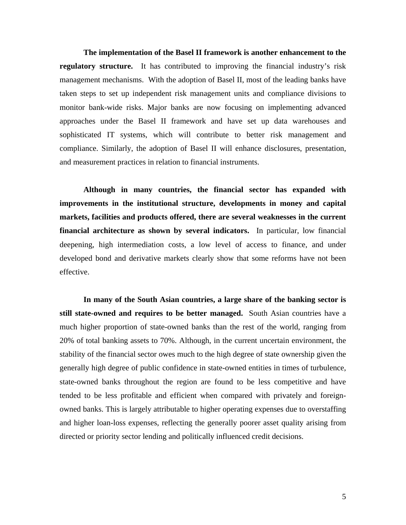**The implementation of the Basel II framework is another enhancement to the regulatory structure.** It has contributed to improving the financial industry's risk management mechanisms. With the adoption of Basel II, most of the leading banks have taken steps to set up independent risk management units and compliance divisions to monitor bank-wide risks. Major banks are now focusing on implementing advanced approaches under the Basel II framework and have set up data warehouses and sophisticated IT systems, which will contribute to better risk management and compliance. Similarly, the adoption of Basel II will enhance disclosures, presentation, and measurement practices in relation to financial instruments.

**Although in many countries, the financial sector has expanded with improvements in the institutional structure, developments in money and capital markets, facilities and products offered, there are several weaknesses in the current financial architecture as shown by several indicators.** In particular, low financial deepening, high intermediation costs, a low level of access to finance, and under developed bond and derivative markets clearly show that some reforms have not been effective.

**In many of the South Asian countries, a large share of the banking sector is still state-owned and requires to be better managed.** South Asian countries have a much higher proportion of state-owned banks than the rest of the world, ranging from 20% of total banking assets to 70%. Although, in the current uncertain environment, the stability of the financial sector owes much to the high degree of state ownership given the generally high degree of public confidence in state-owned entities in times of turbulence, state-owned banks throughout the region are found to be less competitive and have tended to be less profitable and efficient when compared with privately and foreignowned banks. This is largely attributable to higher operating expenses due to overstaffing and higher loan-loss expenses, reflecting the generally poorer asset quality arising from directed or priority sector lending and politically influenced credit decisions.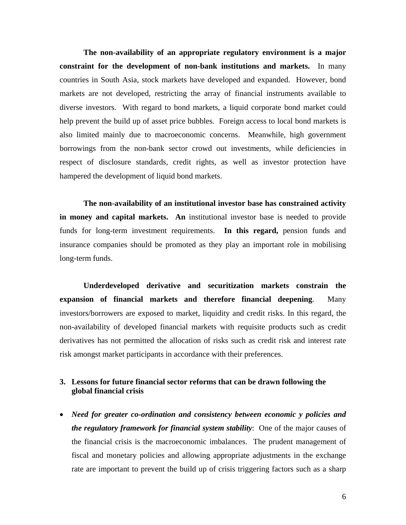**The non-availability of an appropriate regulatory environment is a major constraint for the development of non-bank institutions and markets.** In many countries in South Asia, stock markets have developed and expanded. However, bond markets are not developed, restricting the array of financial instruments available to diverse investors. With regard to bond markets, a liquid corporate bond market could help prevent the build up of asset price bubbles. Foreign access to local bond markets is also limited mainly due to macroeconomic concerns. Meanwhile, high government borrowings from the non-bank sector crowd out investments, while deficiencies in respect of disclosure standards, credit rights, as well as investor protection have hampered the development of liquid bond markets.

**The non-availability of an institutional investor base has constrained activity in money and capital markets. An** institutional investor base is needed to provide funds for long-term investment requirements. **In this regard,** pension funds and insurance companies should be promoted as they play an important role in mobilising long-term funds.

**Underdeveloped derivative and securitization markets constrain the expansion of financial markets and therefore financial deepening**. Many investors/borrowers are exposed to market, liquidity and credit risks. In this regard, the non-availability of developed financial markets with requisite products such as credit derivatives has not permitted the allocation of risks such as credit risk and interest rate risk amongst market participants in accordance with their preferences.

## **3. Lessons for future financial sector reforms that can be drawn following the global financial crisis**

• *Need for greater co-ordination and consistency between economic y policies and the regulatory framework for financial system stability*: One of the major causes of the financial crisis is the macroeconomic imbalances. The prudent management of fiscal and monetary policies and allowing appropriate adjustments in the exchange rate are important to prevent the build up of crisis triggering factors such as a sharp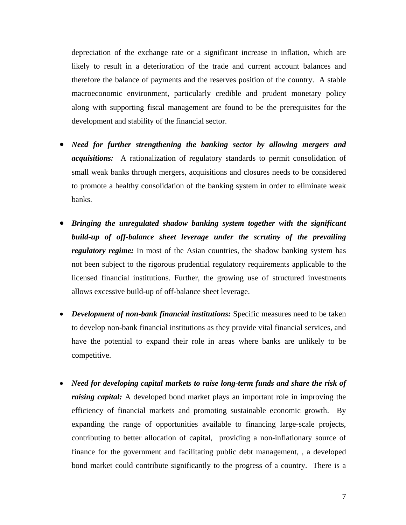depreciation of the exchange rate or a significant increase in inflation, which are likely to result in a deterioration of the trade and current account balances and therefore the balance of payments and the reserves position of the country. A stable macroeconomic environment, particularly credible and prudent monetary policy along with supporting fiscal management are found to be the prerequisites for the development and stability of the financial sector.

- *Need for further strengthening the banking sector by allowing mergers and acquisitions:* A rationalization of regulatory standards to permit consolidation of small weak banks through mergers, acquisitions and closures needs to be considered to promote a healthy consolidation of the banking system in order to eliminate weak banks.
- *Bringing the unregulated shadow banking system together with the significant build-up of off-balance sheet leverage under the scrutiny of the prevailing regulatory regime:* In most of the Asian countries, the shadow banking system has not been subject to the rigorous prudential regulatory requirements applicable to the licensed financial institutions. Further, the growing use of structured investments allows excessive build-up of off-balance sheet leverage.
- *Development of non-bank financial institutions:* Specific measures need to be taken to develop non-bank financial institutions as they provide vital financial services, and have the potential to expand their role in areas where banks are unlikely to be competitive.
- *Need for developing capital markets to raise long-term funds and share the risk of raising capital:* A developed bond market plays an important role in improving the efficiency of financial markets and promoting sustainable economic growth. By expanding the range of opportunities available to financing large-scale projects, contributing to better allocation of capital, providing a non-inflationary source of finance for the government and facilitating public debt management, , a developed bond market could contribute significantly to the progress of a country. There is a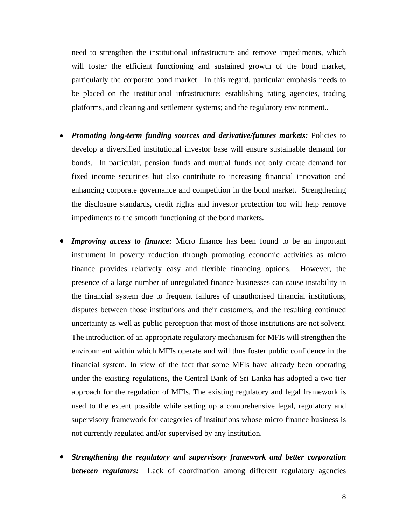need to strengthen the institutional infrastructure and remove impediments, which will foster the efficient functioning and sustained growth of the bond market, particularly the corporate bond market. In this regard, particular emphasis needs to be placed on the institutional infrastructure; establishing rating agencies, trading platforms, and clearing and settlement systems; and the regulatory environment..

- *Promoting long-term funding sources and derivative/futures markets:* Policies to develop a diversified institutional investor base will ensure sustainable demand for bonds. In particular, pension funds and mutual funds not only create demand for fixed income securities but also contribute to increasing financial innovation and enhancing corporate governance and competition in the bond market. Strengthening the disclosure standards, credit rights and investor protection too will help remove impediments to the smooth functioning of the bond markets.
- *Improving access to finance:* Micro finance has been found to be an important instrument in poverty reduction through promoting economic activities as micro finance provides relatively easy and flexible financing options. However, the presence of a large number of unregulated finance businesses can cause instability in the financial system due to frequent failures of unauthorised financial institutions, disputes between those institutions and their customers, and the resulting continued uncertainty as well as public perception that most of those institutions are not solvent. The introduction of an appropriate regulatory mechanism for MFIs will strengthen the environment within which MFIs operate and will thus foster public confidence in the financial system. In view of the fact that some MFIs have already been operating under the existing regulations, the Central Bank of Sri Lanka has adopted a two tier approach for the regulation of MFIs. The existing regulatory and legal framework is used to the extent possible while setting up a comprehensive legal, regulatory and supervisory framework for categories of institutions whose micro finance business is not currently regulated and/or supervised by any institution.
- *Strengthening the regulatory and supervisory framework and better corporation between regulators:* Lack of coordination among different regulatory agencies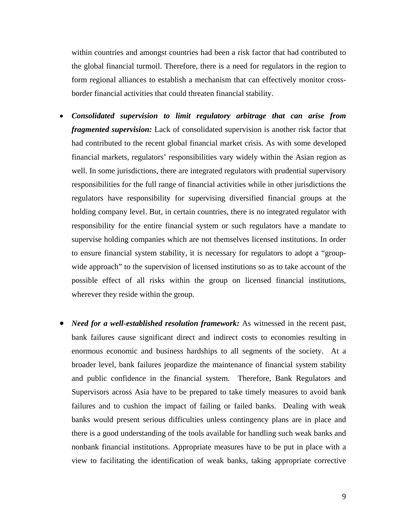within countries and amongst countries had been a risk factor that had contributed to the global financial turmoil. Therefore, there is a need for regulators in the region to form regional alliances to establish a mechanism that can effectively monitor crossborder financial activities that could threaten financial stability.

- *Consolidated supervision to limit regulatory arbitrage that can arise from fragmented supervision:* Lack of consolidated supervision is another risk factor that had contributed to the recent global financial market crisis. As with some developed financial markets, regulators' responsibilities vary widely within the Asian region as well. In some jurisdictions, there are integrated regulators with prudential supervisory responsibilities for the full range of financial activities while in other jurisdictions the regulators have responsibility for supervising diversified financial groups at the holding company level. But, in certain countries, there is no integrated regulator with responsibility for the entire financial system or such regulators have a mandate to supervise holding companies which are not themselves licensed institutions. In order to ensure financial system stability, it is necessary for regulators to adopt a "groupwide approach" to the supervision of licensed institutions so as to take account of the possible effect of all risks within the group on licensed financial institutions, wherever they reside within the group.
- *Need for a well-established resolution framework:* As witnessed in the recent past, bank failures cause significant direct and indirect costs to economies resulting in enormous economic and business hardships to all segments of the society. At a broader level, bank failures jeopardize the maintenance of financial system stability and public confidence in the financial system. Therefore, Bank Regulators and Supervisors across Asia have to be prepared to take timely measures to avoid bank failures and to cushion the impact of failing or failed banks. Dealing with weak banks would present serious difficulties unless contingency plans are in place and there is a good understanding of the tools available for handling such weak banks and nonbank financial institutions. Appropriate measures have to be put in place with a view to facilitating the identification of weak banks, taking appropriate corrective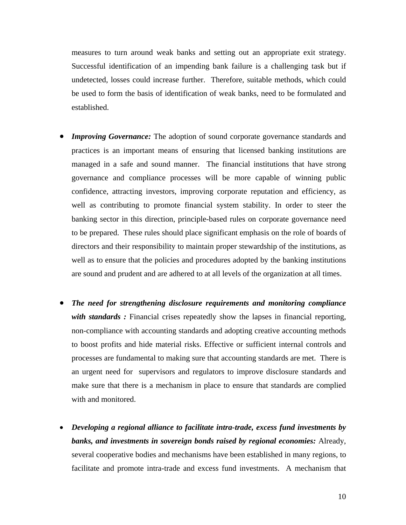measures to turn around weak banks and setting out an appropriate exit strategy. Successful identification of an impending bank failure is a challenging task but if undetected, losses could increase further. Therefore, suitable methods, which could be used to form the basis of identification of weak banks, need to be formulated and established.

- **Improving Governance:** The adoption of sound corporate governance standards and practices is an important means of ensuring that licensed banking institutions are managed in a safe and sound manner. The financial institutions that have strong governance and compliance processes will be more capable of winning public confidence, attracting investors, improving corporate reputation and efficiency, as well as contributing to promote financial system stability. In order to steer the banking sector in this direction, principle-based rules on corporate governance need to be prepared. These rules should place significant emphasis on the role of boards of directors and their responsibility to maintain proper stewardship of the institutions, as well as to ensure that the policies and procedures adopted by the banking institutions are sound and prudent and are adhered to at all levels of the organization at all times.
- *The need for strengthening disclosure requirements and monitoring compliance*  with standards: Financial crises repeatedly show the lapses in financial reporting, non-compliance with accounting standards and adopting creative accounting methods to boost profits and hide material risks. Effective or sufficient internal controls and processes are fundamental to making sure that accounting standards are met. There is an urgent need for supervisors and regulators to improve disclosure standards and make sure that there is a mechanism in place to ensure that standards are complied with and monitored.
- *Developing a regional alliance to facilitate intra-trade, excess fund investments by banks, and investments in sovereign bonds raised by regional economies:* Already, several cooperative bodies and mechanisms have been established in many regions, to facilitate and promote intra-trade and excess fund investments. A mechanism that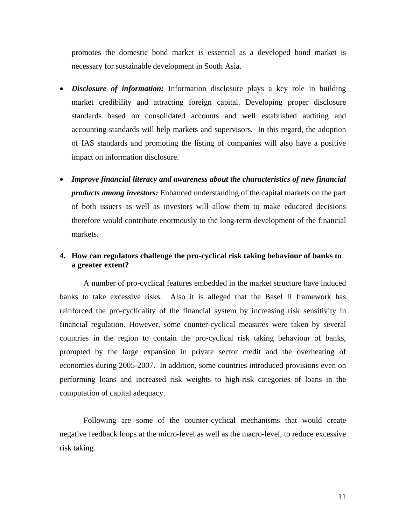promotes the domestic bond market is essential as a developed bond market is necessary for sustainable development in South Asia.

- *Disclosure of information:* Information disclosure plays a key role in building market credibility and attracting foreign capital. Developing proper disclosure standards based on consolidated accounts and well established auditing and accounting standards will help markets and supervisors.In this regard, the adoption of IAS standards and promoting the listing of companies will also have a positive impact on information disclosure.
- *Improve financial literacy and awareness about the characteristics of new financial products among investors:* Enhanced understanding of the capital markets on the part of both issuers as well as investors will allow them to make educated decisions therefore would contribute enormously to the long-term development of the financial markets.

## **4. How can regulators challenge the pro-cyclical risk taking behaviour of banks to a greater extent?**

A number of pro-cyclical features embedded in the market structure have induced banks to take excessive risks. Also it is alleged that the Basel II framework has reinforced the pro-cyclicality of the financial system by increasing risk sensitivity in financial regulation. However, some counter-cyclical measures were taken by several countries in the region to contain the pro-cyclical risk taking behaviour of banks, prompted by the large expansion in private sector credit and the overheating of economies during 2005-2007. In addition, some countries introduced provisions even on performing loans and increased risk weights to high-risk categories of loans in the computation of capital adequacy.

Following are some of the counter-cyclical mechanisms that would create negative feedback loops at the micro-level as well as the macro-level, to reduce excessive risk taking.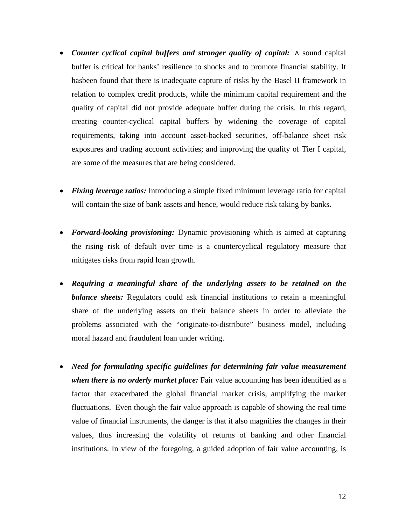- *Counter cyclical capital buffers and stronger quality of capital:* A sound capital buffer is critical for banks' resilience to shocks and to promote financial stability. It hasbeen found that there is inadequate capture of risks by the Basel II framework in relation to complex credit products, while the minimum capital requirement and the quality of capital did not provide adequate buffer during the crisis. In this regard, creating counter-cyclical capital buffers by widening the coverage of capital requirements, taking into account asset-backed securities, off-balance sheet risk exposures and trading account activities; and improving the quality of Tier I capital, are some of the measures that are being considered.
- *Fixing leverage ratios:* Introducing a simple fixed minimum leverage ratio for capital will contain the size of bank assets and hence, would reduce risk taking by banks.
- *Forward-looking provisioning:* Dynamic provisioning which is aimed at capturing the rising risk of default over time is a countercyclical regulatory measure that mitigates risks from rapid loan growth.
- *Requiring a meaningful share of the underlying assets to be retained on the balance sheets:* Regulators could ask financial institutions to retain a meaningful share of the underlying assets on their balance sheets in order to alleviate the problems associated with the "originate-to-distribute" business model, including moral hazard and fraudulent loan under writing.
- *Need for formulating specific guidelines for determining fair value measurement when there is no orderly market place:* Fair value accounting has been identified as a factor that exacerbated the global financial market crisis, amplifying the market fluctuations. Even though the fair value approach is capable of showing the real time value of financial instruments, the danger is that it also magnifies the changes in their values, thus increasing the volatility of returns of banking and other financial institutions. In view of the foregoing, a guided adoption of fair value accounting, is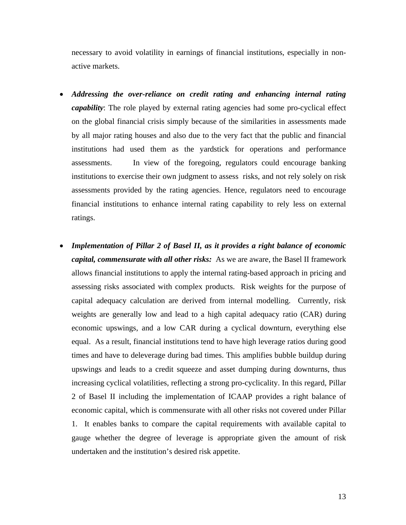necessary to avoid volatility in earnings of financial institutions, especially in nonactive markets.

- *Addressing the over-reliance on credit rating and enhancing internal rating capability*: The role played by external rating agencies had some pro-cyclical effect on the global financial crisis simply because of the similarities in assessments made by all major rating houses and also due to the very fact that the public and financial institutions had used them as the yardstick for operations and performance assessments. In view of the foregoing, regulators could encourage banking institutions to exercise their own judgment to assess risks, and not rely solely on risk assessments provided by the rating agencies. Hence, regulators need to encourage financial institutions to enhance internal rating capability to rely less on external ratings.
- *Implementation of Pillar 2 of Basel II, as it provides a right balance of economic capital, commensurate with all other risks:* As we are aware, the Basel II framework allows financial institutions to apply the internal rating-based approach in pricing and assessing risks associated with complex products. Risk weights for the purpose of capital adequacy calculation are derived from internal modelling. Currently, risk weights are generally low and lead to a high capital adequacy ratio (CAR) during economic upswings, and a low CAR during a cyclical downturn, everything else equal. As a result, financial institutions tend to have high leverage ratios during good times and have to deleverage during bad times. This amplifies bubble buildup during upswings and leads to a credit squeeze and asset dumping during downturns, thus increasing cyclical volatilities, reflecting a strong pro-cyclicality. In this regard, Pillar 2 of Basel II including the implementation of ICAAP provides a right balance of economic capital, which is commensurate with all other risks not covered under Pillar 1. It enables banks to compare the capital requirements with available capital to gauge whether the degree of leverage is appropriate given the amount of risk undertaken and the institution's desired risk appetite.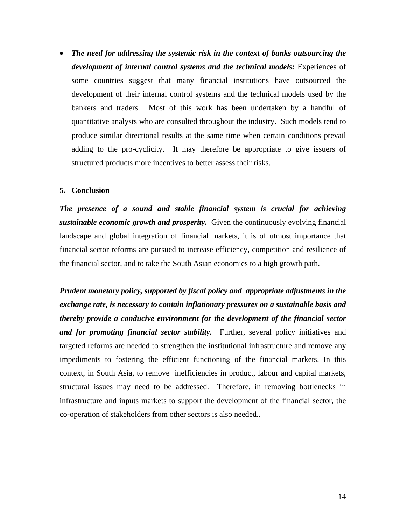• *The need for addressing the systemic risk in the context of banks outsourcing the development of internal control systems and the technical models:* Experiences of some countries suggest that many financial institutions have outsourced the development of their internal control systems and the technical models used by the bankers and traders. Most of this work has been undertaken by a handful of quantitative analysts who are consulted throughout the industry. Such models tend to produce similar directional results at the same time when certain conditions prevail adding to the pro-cyclicity. It may therefore be appropriate to give issuers of structured products more incentives to better assess their risks.

#### **5. Conclusion**

*The presence of a sound and stable financial system is crucial for achieving sustainable economic growth and prosperity.* Given the continuously evolving financial landscape and global integration of financial markets, it is of utmost importance that financial sector reforms are pursued to increase efficiency, competition and resilience of the financial sector, and to take the South Asian economies to a high growth path.

*Prudent monetary policy, supported by fiscal policy and appropriate adjustments in the exchange rate, is necessary to contain inflationary pressures on a sustainable basis and thereby provide a conducive environment for the development of the financial sector and for promoting financial sector stability.* Further, several policy initiatives and targeted reforms are needed to strengthen the institutional infrastructure and remove any impediments to fostering the efficient functioning of the financial markets. In this context, in South Asia, to remove inefficiencies in product, labour and capital markets, structural issues may need to be addressed. Therefore, in removing bottlenecks in infrastructure and inputs markets to support the development of the financial sector, the co-operation of stakeholders from other sectors is also needed..